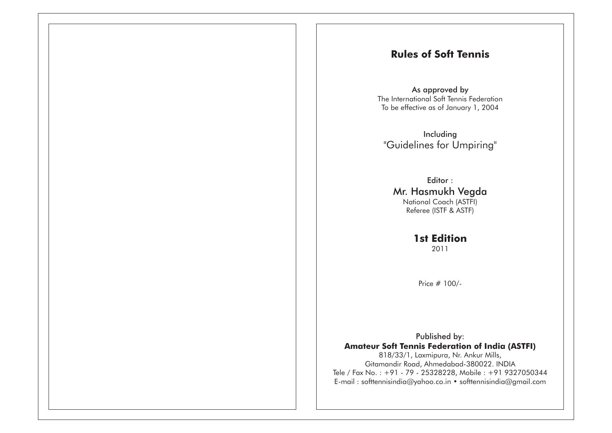# **Rules of Soft Tennis**

As approved by The International Soft Tennis FederationTo be effective as of January 1, 2004

Including"Guidelines for Umpiring"

Editor : Mr. Hasmukh VegdaNational Coach (ASTFI)Referee (ISTF & ASTF)

> **1st Edition**2011

Price # 100/-

Published by: **Amateur Soft Tennis Federation of India (ASTFI)**818/33/1, Laxmipura, Nr. Ankur Mills, Gitamandir Road, Ahmedabad-380022. INDIA Tele / Fax No. : +91 - 79 - 25328228, Mobile : +91 9327050344E-mail : softtennisindia@yahoo.co.in • softtennisindia@gmail.com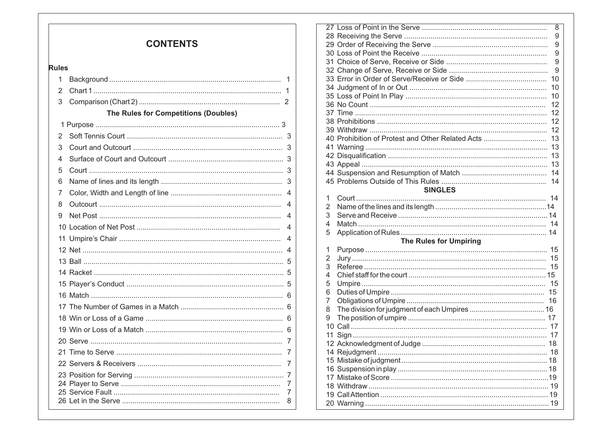| <b>CONTENTS</b> |  |
|-----------------|--|
|-----------------|--|

#### **Rules**

| 1 |                                             | 1                        |
|---|---------------------------------------------|--------------------------|
| 2 |                                             | 1                        |
| 3 |                                             |                          |
|   | <b>The Rules for Competitions (Doubles)</b> |                          |
|   |                                             |                          |
| 2 |                                             |                          |
| 3 |                                             | 3                        |
| 4 |                                             |                          |
| 5 |                                             |                          |
| 6 |                                             |                          |
| 7 |                                             | $\overline{\mathcal{A}}$ |
| 8 |                                             | 4                        |
| 9 |                                             | 4                        |
|   |                                             | 4                        |
|   |                                             | 4                        |
|   |                                             | 4                        |
|   |                                             |                          |
|   |                                             |                          |
|   |                                             |                          |
|   |                                             |                          |
|   |                                             |                          |
|   |                                             |                          |
|   |                                             |                          |
|   |                                             |                          |
|   |                                             |                          |
|   |                                             | 7                        |
|   |                                             |                          |
|   |                                             | 7<br>7                   |
|   |                                             | 8                        |
|   |                                             |                          |

|    |                                                      | 8  |
|----|------------------------------------------------------|----|
|    |                                                      | 9  |
|    |                                                      | 9  |
|    |                                                      | 9  |
|    |                                                      | 9  |
|    |                                                      | 9  |
|    |                                                      |    |
|    |                                                      | 10 |
|    |                                                      | 10 |
|    |                                                      | 12 |
|    |                                                      |    |
|    |                                                      |    |
|    |                                                      |    |
|    | 40 Prohibition of Protest and Other Related Acts  13 |    |
|    |                                                      |    |
|    |                                                      |    |
|    |                                                      |    |
|    |                                                      |    |
|    |                                                      |    |
|    | <b>SINGLES</b>                                       |    |
|    |                                                      |    |
| 1  |                                                      |    |
| 2  |                                                      |    |
| 3  |                                                      |    |
| 4  |                                                      |    |
| 5  |                                                      |    |
|    | <b>The Rules for Umpiring</b>                        |    |
| 1  |                                                      |    |
| 2  |                                                      | 15 |
| 3  |                                                      |    |
| 4  |                                                      |    |
| 5  |                                                      | 15 |
| 6  |                                                      |    |
| 7  |                                                      |    |
| 8  |                                                      |    |
| 9  |                                                      |    |
|    |                                                      |    |
| 11 |                                                      |    |
|    |                                                      |    |
|    |                                                      |    |
|    |                                                      |    |
|    |                                                      |    |
|    |                                                      |    |
|    |                                                      |    |
|    |                                                      |    |
|    |                                                      |    |
|    |                                                      |    |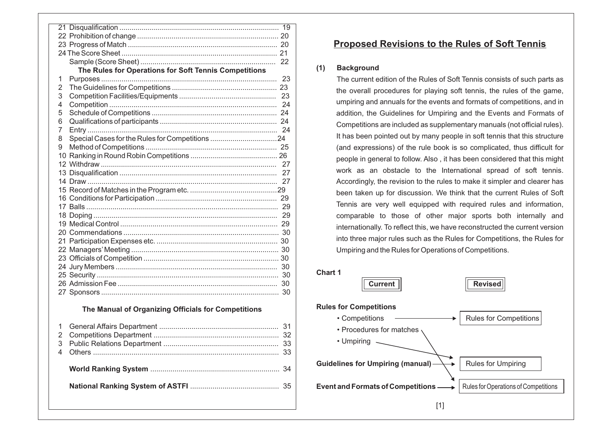|                                                       | 19 |
|-------------------------------------------------------|----|
|                                                       |    |
|                                                       |    |
|                                                       |    |
|                                                       | 22 |
| The Rules for Operations for Soft Tennis Competitions |    |
| 1                                                     | 23 |
| 2                                                     |    |
| 3                                                     | 23 |
| 4                                                     | 24 |
| 5                                                     |    |
| 6                                                     |    |
| 7                                                     |    |
| 8                                                     |    |
| 9                                                     |    |
|                                                       |    |
|                                                       |    |
|                                                       |    |
|                                                       | 27 |
|                                                       |    |
|                                                       |    |
|                                                       |    |
|                                                       | 29 |
|                                                       |    |
|                                                       |    |
|                                                       |    |
|                                                       |    |
|                                                       |    |
|                                                       | 30 |
|                                                       |    |
|                                                       |    |
|                                                       | 30 |
|                                                       |    |

#### **The Manual of Organizing Officials for Competitions**

# **Proposed Revisions to the Rules of Soft Tennis**

#### **(1) Background**

 The current edition of the Rules of Soft Tennis consists of such parts asthe overall procedures for playing soft tennis, the rules of the game, umpiring and annuals for the events and formats of competitions, and in addition, the Guidelines for Umpiring and the Events and Formats of Competitions are included as supplementary manuals (not official rules). It has been pointed out by many people in soft tennis that this structure(and expressions) of the rule book is so complicated, thus difficult forpeople in general to follow. Also , it has been considered that this might work as an obstacle to the International spread of soft tennis. Accordingly, the revision to the rules to make it simpler and clearer hasbeen taken up for discussion. We think that the current Rules of Soft Tennis are very well equipped with required rules and information, comparable to those of other major sports both internally and internationally. To reflect this, we have reconstructed the current version into three major rules such as the Rules for Competitions, the Rules forUmpiring and the Rules for Operations of Competitions.





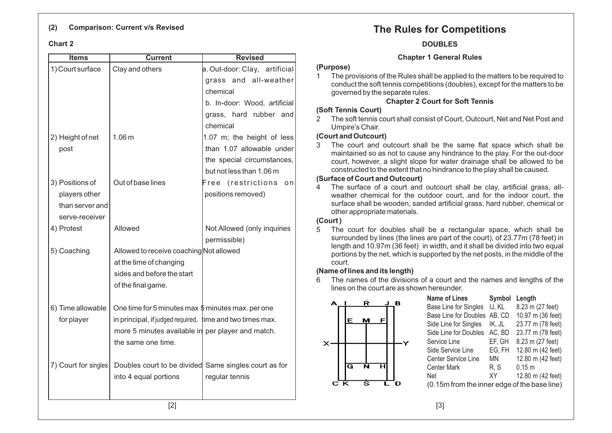#### **(2) Comparison: Current v/s Revised**

#### **Chart 2**

| Items                | <b>Current</b>                                                | <b>Revised</b>                |  |  |  |  |  |  |
|----------------------|---------------------------------------------------------------|-------------------------------|--|--|--|--|--|--|
| 1) Court surface     | Clay and others                                               | a. Out-door: Clay, artificial |  |  |  |  |  |  |
|                      |                                                               | grass and all-weather         |  |  |  |  |  |  |
|                      |                                                               | chemical                      |  |  |  |  |  |  |
|                      |                                                               | b. In-door: Wood, artificial  |  |  |  |  |  |  |
|                      |                                                               | grass, hard rubber and        |  |  |  |  |  |  |
|                      |                                                               | chemical                      |  |  |  |  |  |  |
| 2) Height of net     | 1.06 <sub>m</sub>                                             | 1.07 m; the height of less    |  |  |  |  |  |  |
| post                 |                                                               | than 1.07 allowable under     |  |  |  |  |  |  |
|                      |                                                               | the special circumstances,    |  |  |  |  |  |  |
|                      |                                                               | but not less than 1.06 m      |  |  |  |  |  |  |
| 3) Positions of      | Out of base lines                                             | Free (restrictions<br>o n     |  |  |  |  |  |  |
| players other        |                                                               | positions removed)            |  |  |  |  |  |  |
| than server and      |                                                               |                               |  |  |  |  |  |  |
| serve-receiver       |                                                               |                               |  |  |  |  |  |  |
| 4) Protest           | Allowed                                                       | Not Allowed (only inquiries   |  |  |  |  |  |  |
|                      |                                                               | permissible)                  |  |  |  |  |  |  |
| 5) Coaching          | Allowed to receive coaching Not allowed                       |                               |  |  |  |  |  |  |
|                      | at the time of changing                                       |                               |  |  |  |  |  |  |
|                      | sides and before the start                                    |                               |  |  |  |  |  |  |
|                      | of the final game.                                            |                               |  |  |  |  |  |  |
| 6) Time allowable    | One time for 5 minutes max $\frac{4}{9}$ minutes max. per one |                               |  |  |  |  |  |  |
| for player           | in principal, if judged required, time and two times max.     |                               |  |  |  |  |  |  |
|                      | more 5 minutes available in per player and match.             |                               |  |  |  |  |  |  |
|                      | the same one time.                                            |                               |  |  |  |  |  |  |
|                      |                                                               |                               |  |  |  |  |  |  |
| 7) Court for singles | Doubles court to be divided Same singles court as for         |                               |  |  |  |  |  |  |
|                      | into 4 equal portions                                         | regular tennis                |  |  |  |  |  |  |
|                      |                                                               |                               |  |  |  |  |  |  |
|                      |                                                               |                               |  |  |  |  |  |  |
|                      | $[2]$                                                         |                               |  |  |  |  |  |  |

# **The Rules for Competitions**

#### **DOUBLES**

#### **Chapter 1 General Rules**

#### **(Purpose)**

 1 The provisions of the Rules shall be applied to the matters to be required to conduct the soft tennis competitions (doubles), except for the matters to begoverned by the separate rules.

### **Chapter 2 Court for Soft Tennis**

#### **(Soft Tennis Court)**

 2 The soft tennis court shall consist of Court, Outcourt, Net and Net Post andUmpire's Chair.

#### **(Court and Outcourt)**

 3 The court and outcourt shall be the same flat space which shall be maintained so as not to cause any hindrance to the play. For the out-door court, however, <sup>a</sup> slight slope for water drainage shall be allowed to beconstructed to the extent that no hindrance to the play shall be caused.

#### **(Surface of Court and Outcourt)**

 4 The surface of <sup>a</sup> court and outcourt shall be clay, artificial grass, allweather chemical for the outdoor court, and for the indoor court, the surface shall be wooden, sanded artificial grass, hard rubber, chemical orother appropriate materials.

#### **(Court )**

 $\times$ 

 5 The court for doubles shall be <sup>a</sup> rectangular space, which shall be surrounded by lines (the lines are part of the court), of 23.77m (78 feet) in length and 10.97m (36 feet) in width, and it shall be divided into two equal portions by the net, which is supported by the net posts, in the middle of thecourt.

### **(Name of lines and its length)**

 6 The names of the divisions of <sup>a</sup> court and the names and lengths of thelines on the court are as shown hereunder.

|   |  |   | <b>Name of Lines</b>                         | Symbol | Length            |
|---|--|---|----------------------------------------------|--------|-------------------|
| Ŕ |  | в | Base Line for Singles                        | IJ, KL | 8.23 m (27 feet)  |
|   |  |   | Base Line for Doubles AB, CD                 |        | 10.97 m (36 feet) |
| м |  |   | Side Line for Singles                        | IK. JL | 23.77 m (78 feet) |
|   |  |   | Side Line for Doubles                        | AC, BD | 23.77 m (78 feet) |
|   |  |   | Service Line                                 | EF, GH | 8.23 m (27 feet)  |
|   |  |   | Side Service Line                            | EG, FH | 12.80 m (42 feet) |
|   |  |   | <b>Center Service Line</b>                   | ΜN     | 12.80 m (42 feet) |
| N |  |   | <b>Center Mark</b>                           | R, S   | 0.15 m            |
|   |  |   | <b>Net</b>                                   | XY     | 12.80 m (42 feet) |
| D |  |   | (0.15m from the inner edge of the base line) |        |                   |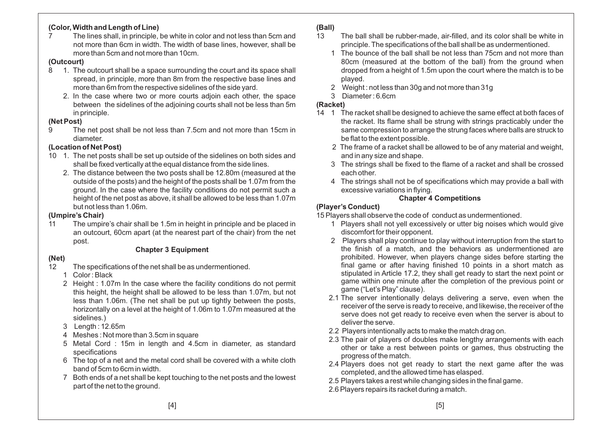### **(Color, Width and Length of Line)**

 7 The lines shall, in principle, be white in color and not less than 5cm and not more than 6cm in width. The width of base lines, however, shall bemore than 5cm and not more than 10cm.

#### **(Outcourt)**

- 8 1. The outcourt shall be a space surrounding the court and its space shall spread, in principle, more than 8m from the respective base lines andmore than 6m from the respective sidelines of the side yard.
	- 2. In the case where two or more courts adjoin each other, the space between the sidelines of the adjoining courts shall not be less than 5min principle.

# **(Net Post)**<br>9 The

 9 The net post shall be not less than 7.5cm and not more than 15cm indiameter.

### **(Location of Net Post)**

- 10 1. The net posts shall be set up outside of the sidelines on both sides andshall be fixed vertically at the equal distance from the side lines.
	- 2. The distance between the two posts shall be 12.80m (measured at the outside of the posts) and the height of the posts shall be 1.07m from the ground. In the case where the facility conditions do not permit such <sup>a</sup> height of the net post as above, it shall be allowed to be less than 1.07mbut not less than 1.06m.

#### **(Umpire's Chair)**

 11 The umpire's chair shall be 1.5m in height in principle and be placed in an outcourt, 60cm apart (at the nearest part of the chair) from the net post.

#### **Chapter 3 Equipment**

## **(Net)**

- 12 The specifications of the net shall be as undermentioned.
	- 1 Color : Black
	- 2 Height : 1.07m In the case where the facility conditions do not permit this height, the height shall be allowed to be less than 1.07m, but not less than 1.06m. (The net shall be put up tightly between the posts, horizontally on <sup>a</sup> level at the height of 1.06m to 1.07m measured at thesidelines.)
	- 3 Length : 12.65m
	- 4 Meshes : Not more than 3.5cm in square
	- 5 Metal Cord : 15m in length and 4.5cm in diameter, as standardspecifications
	- 6 The top of <sup>a</sup> net and the metal cord shall be covered with <sup>a</sup> white clothband of 5cm to 6cm in width.
	- 7 Both ends of <sup>a</sup> net shall be kept touching to the net posts and the lowest part of the net to the ground.

#### **(Ball)**

- 13 The ball shall be rubber-made, air-filled, and its color shall be white inprinciple. The specifications of the ball shall be as undermentioned.
	- 1 The bounce of the ball shall be not less than 75cm and not more than 80cm (measured at the bottom of the ball) from the ground when dropped from <sup>a</sup> height of 1.5m upon the court where the match is to beplayed.
	- 2 Weight : not less than 30g and not more than 31g
	- 3 Diameter : 6.6cm

#### **(Racket)**

- 14 1 The racket shall be designed to achieve the same effect at both faces of the racket. Its flame shall be strung with strings practicably under the same compression to arrange the strung faces where balls are struck tobe flat to the extent possible.
	- 2 The frame of <sup>a</sup> racket shall be allowed to be of any material and weight, and in any size and shape.
	- 3 The strings shall be fixed to the flame of <sup>a</sup> racket and shall be crossedeach other.
	- 4 The strings shall not be of specifications which may provide <sup>a</sup> ball withexcessive variations in flying.

## **Chapter 4 Competitions**

#### **(Player's Conduct)**

15 Players shall observe the code of conduct as undermentioned.

- 1 Players shall not yell excessively or utter big noises which would givediscomfort for their opponent.
- 2 Players shall play continue to play without interruption from the start to the finish of <sup>a</sup> match, and the behaviors as undermentioned are prohibited. However, when players change sides before starting the final game or after having finished 10 points in <sup>a</sup> short match as stipulated in Article 17.2, they shall get ready to start the next point or game within one minute after the completion of the previous point orgame ("Let's Play" clause).
- 2.1 The server intentionally delays delivering <sup>a</sup> serve, even when the receiver of the serve is ready to receive, and likewise, the receiver of the serve does not get ready to receive even when the server is about todeliver the serve.
- 2.2 Players intentionally acts to make the match drag on.
- 2.3 The pair of players of doubles make lengthy arrangements with each other or take <sup>a</sup> rest between points or games, thus obstructing theprogress of the match.
- 2.4 Players does not get ready to start the next game after the wascompleted, and the allowed time has elasped.
- 2.5 Players takes <sup>a</sup> rest while changing sides in the final game.
- 2.6 Players repairs its racket during <sup>a</sup> match.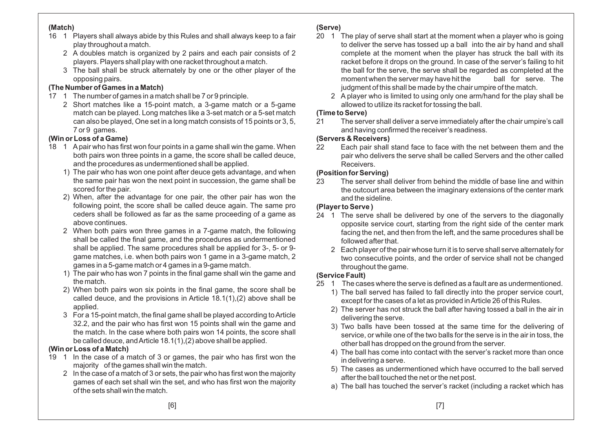#### **(Match)**

- 16 1 Players shall always abide by this Rules and shall always keep to <sup>a</sup> fairplay throughout <sup>a</sup> match.
	- 2 A doubles match is organized by 2 pairs and each pair consists of 2players. Players shall play with one racket throughout <sup>a</sup> match.
	- 3 The ball shall be struck alternately by one or the other player of theopposing pairs.

## **(The Number of Games in <sup>a</sup> Match)**

- 17 1 The number of games in <sup>a</sup> match shall be 7 or 9 principle.
	- 2 Short matches like <sup>a</sup> 15-point match, <sup>a</sup> 3-game match or <sup>a</sup> 5-game match can be played. Long matches like <sup>a</sup> 3-set match or <sup>a</sup> 5-set match can also be played, One set in <sup>a</sup> long match consists of 15 points or 3, 5, 7 or 9 games.

## **(Win or Loss of <sup>a</sup> Game)**

- 18 1 Apair who has first won four points in <sup>a</sup> game shall win the game. When both pairs won three points in <sup>a</sup> game, the score shall be called deuce, and the procedures as undermentioned shall be applied.
	- 1) The pair who has won one point after deuce gets advantage, and when the same pair has won the next point in succession, the game shall bescored for the pair.
	- 2) When, after the advantage for one pair, the other pair has won the following point, the score shall be called deuce again. The same pro ceders shall be followed as far as the same proceeding of <sup>a</sup> game asabove continues.
	- 2 When both pairs won three games in <sup>a</sup> 7-game match, the following shall be called the final game, and the procedures as undermentioned shall be applied. The same procedures shall be applied for 3-, 5- or 9 game matches, i.e. when both pairs won 1 game in <sup>a</sup> 3-game match, 2games in <sup>a</sup> 5-game match or 4 games in <sup>a</sup> 9-game match.
	- 1) The pair who has won 7 points in the final game shall win the game andthe match.
	- 2) When both pairs won six points in the final game, the score shall be called deuce, and the provisions in Article 18.1(1),(2) above shall beapplied.
	- 3 For <sup>a</sup> 15-point match, the final game shall be played according toArticle 32.2, and the pair who has first won 15 points shall win the game and the match. In the case where both pairs won 14 points, the score shall be called deuce, andArticle 18.1(1),(2) above shall be applied.

# **(Win or Loss of <sup>a</sup> Match)**

- 19 1 In the case of <sup>a</sup> match of 3 or games, the pair who has first won themajority of the games shall win the match.
	- 2 In the case of <sup>a</sup> match of 3 or sets, the pair who has first won the majority games of each set shall win the set, and who has first won the majorityof the sets shall win the match.

# **(Serve)**

- 20 1 The play of serve shall start at the moment when <sup>a</sup> player who is going to deliver the serve has tossed up <sup>a</sup> ball into the air by hand and shall complete at the moment when the player has struck the ball with its racket before it drops on the ground. In case of the server's failing to hit the ball for the serve, the serve shall be regarded as completed at theball for serve. The moment when the server may have hit the judgment of this shall be made by the chair umpire of the match.
	- 2 A player who is limited to using only one arm/hand for the play shall beallowed to utilize its racket for tossing the ball.

## **(Time to Serve)**

 21 The server shall deliver <sup>a</sup> serve immediately after the chair umpire's call and having confirmed the receiver's readiness.

## **(Servers & Receivers)**

 22 Each pair shall stand face to face with the net between them and the pair who delivers the serve shall be called Servers and the other calledReceivers.

# **(Position for Serving)**

 23 The server shall deliver from behind the middle of base line and within the outcourt area between the imaginary extensions of the center markand the sideline.

# **(Player to Serve )**

- 24 1 The serve shall be delivered by one of the servers to the diagonally opposite service court, starting from the right side of the center mark facing the net, and then from the left, and the same procedures shall befollowed after that.
	- 2 Each player of the pair whose turn it is to serve shall serve alternately for two consecutive points, and the order of service shall not be changedthroughout the game.

# **(Service Fault)**

- 25 1 The cases where the serve is defined as <sup>a</sup> fault are as undermentioned.
	- 1) The ball served has failed to fall directly into the proper service court, except for the cases of <sup>a</sup> let as provided inArticle 26 of this Rules.
	- 2) The server has not struck the ball after having tossed <sup>a</sup> ball in the air indelivering the serve.
	- 3) Two balls have been tossed at the same time for the delivering of service, or while one of the two balls for the serve is in the air in toss, theother ball has dropped on the ground from the server.
	- 4) The ball has come into contact with the server's racket more than oncein delivering <sup>a</sup> serve.
	- 5) The cases as undermentioned which have occurred to the ball servedafter the ball touched the net or the net post.
	- a) The ball has touched the server's racket (including <sup>a</sup> racket which has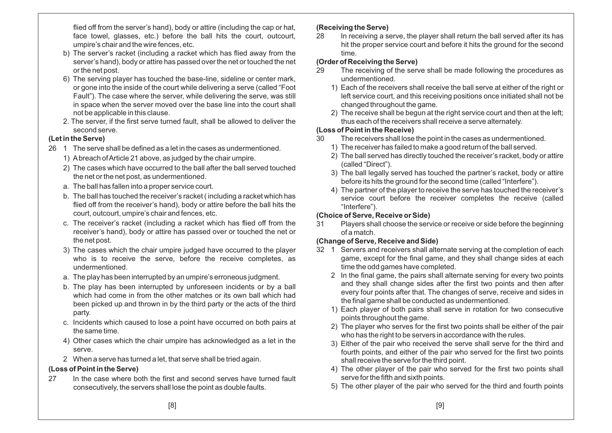flied off from the server's hand), body or attire (including the cap or hat, face towel, glasses, etc.) before the ball hits the court, outcourt, umpire's chair and the wire fences, etc.

- b) The server's racket (including <sup>a</sup> racket which has flied away from the server's hand), body or attire has passed over the net or touched the net or the net post.
- 6) The serving player has touched the base-line, sideline or center mark, or gone into the inside of the court while delivering <sup>a</sup> serve (called "Foot Fault"). The case where the server, while delivering the serve, was still in space when the server moved over the base line into the court shall not be applicable in this clause.
- 2. The server, if the first serve turned fault, shall be allowed to deliver thesecond serve.

## **(Let in the Serve)**

- 26 1 The serve shall be defined as <sup>a</sup> let in the cases as undermentioned.
	- 1) Abreach ofArticle 21 above, as judged by the chair umpire.
	- 2) The cases which have occurred to the ball after the ball served touchedthe net or the net post, as undermentioned.
	- a. The ball has fallen into <sup>a</sup> proper service court.
	- b. The ball has touched the receiver's racket ( including <sup>a</sup> racket which has flied off from the receiver's hand), body or attire before the ball hits thecourt, outcourt, umpire's chair and fences, etc.
	- c. The receiver's racket (including <sup>a</sup> racket which has flied off from the receiver's hand), body or attire has passed over or touched the net orthe net post.
	- 3) The cases which the chair umpire judged have occurred to the player who is to receive the serve, before the receive completes, asundermentioned.
	- a. The play has been interrupted by an umpire's erroneous judgment.
	- b. The play has been interrupted by unforeseen incidents or by <sup>a</sup> ball which had come in from the other matches or its own ball which had been picked up and thrown in by the third party or the acts of the thirdparty.
	- c. Incidents which caused to lose <sup>a</sup> point have occurred on both pairs at the same time.
	- 4) Other cases which the chair umpire has acknowledged as <sup>a</sup> let in theserve.
	- 2 When <sup>a</sup> serve has turned <sup>a</sup> let, that serve shall be tried again.

## **(Loss of Point in the Serve)**

27 In the case where both the first and second serves have turned fault consecutively, the servers shall lose the point as double faults.

## **(Receiving the Serve)**

 28 In receiving <sup>a</sup> serve, the player shall return the ball served after its has hit the proper service court and before it hits the ground for the secondtime.

## **(Order of Receiving the Serve)**

- 29 The receiving of the serve shall be made following the procedures asundermentioned.
	- 1) Each of the receivers shall receive the ball serve at either of the right or left service court, and this receiving positions once initiated shall not bechanged throughout the game.
	- 2) The receive shall be begun at the right service court and then at the left; thus each of the receivers shall receive <sup>a</sup> serve alternately.

## **(Loss of Point in the Receive)**

- 30 The receivers shall lose the point in the cases as undermentioned.
	- 1) The receiver has failed to make <sup>a</sup> good return of the ball served.
	- 2) The ball served has directly touched the receiver's racket, body or attire(called "Direct").
	- 3) The ball legally served has touched the partner's racket, body or attirebefore its hits the ground for the second time (called "Interfere").
	- 4) The partner of the player to receive the serve has touched the receiver's service court before the receiver completes the receive (called"Interfere").

# **(Choice of Serve, Receive or Side)**

 31 Players shall choose the service or receive or side before the beginningof <sup>a</sup> match.

# **(Change of Serve, Receive and Side)**

- 32 1 Servers and receivers shall alternate serving at the completion of each game, except for the final game, and they shall change sides at eachtime the odd games have completed.
	- 2 In the final game, the pairs shall alternate serving for every two points and they shall change sides after the first two points and then after every four points after that. The changes of serve, receive and sides inthe final game shall be conducted as undermentioned.
	- 1) Each player of both pairs shall serve in rotation for two consecutivepoints throughout the game.
	- 2) The player who serves for the first two points shall be either of the pairwho has the right to be servers in accordance with the rules.
	- 3) Either of the pair who received the serve shall serve for the third and fourth points, and either of the pair who served for the first two pointsshall receive the serve for the third point.
	- 4) The other player of the pair who served for the first two points shall serve for the fifth and sixth points.
	- 5) The other player of the pair who served for the third and fourth points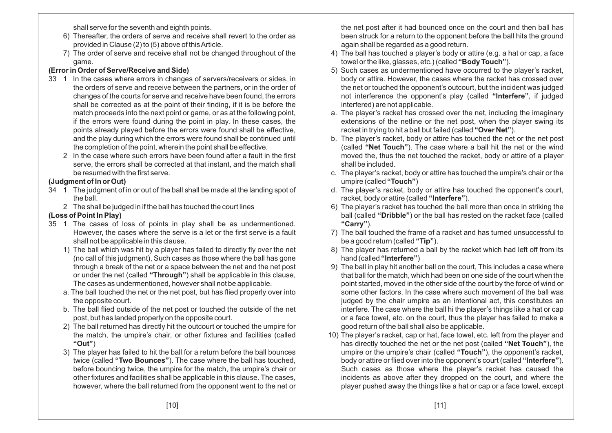shall serve for the seventh and eighth points.

- 6) Thereafter, the orders of serve and receive shall revert to the order asprovided in Clause (2) to (5) above of thisArticle.
- 7) The order of serve and receive shall not be changed throughout of thegame.

## **(Error in Order of Serve/Receive and Side)**

- 33 1 In the cases where errors in changes of servers/receivers or sides, in the orders of serve and receive between the partners, or in the order of changes of the courts for serve and receive have been found, the errors shall be corrected as at the point of their finding, if it is be before the match proceeds into the next point or game, or as at the following point, if the errors were found during the point in play. In these cases, the points already played before the errors were found shall be effective, and the play during which the errors were found shall be continued until the completion of the point, wherein the point shall be effective.
	- 2 In the case where such errors have been found after <sup>a</sup> fault in the first serve, the errors shall be corrected at that instant, and the match shall be resumed with the first serve.

## **(Judgment of In or Out)**

- 34 1 The judgment of in or out of the ball shall be made at the landing spot of the ball.
	- 2 The shall be judged in if the ball has touched the court lines

## **(Loss of Point In Play)**

- 35 1 The cases of loss of points in play shall be as undermentioned. However, the cases where the serve is <sup>a</sup> let or the first serve is <sup>a</sup> fault shall not be applicable in this clause.
	- 1) The ball which was hit by <sup>a</sup> player has failed to directly fly over the net (no call of this judgment), Such cases as those where the ball has gone through <sup>a</sup> break of the net or <sup>a</sup> space between the net and the net post or under the net (called "Through") shall be applicable in this clause, The cases as undermentioned, however shall not be applicable.
	- a. The ball touched the net or the net post, but has flied properly over intothe opposite court.
	- b. The ball flied outside of the net post or touched the outside of the net post, but has landed properly on the opposite court.
	- 2) The ball returned has directly hit the outcourt or touched the umpire for the match, the umpire's chair, or other fixtures and facilities (called**"Out"**)
	- 3) The player has failed to hit the ball for <sup>a</sup> return before the ball bounces $\tt{twice}$  (called "**Two Bounces**"). The case where the ball has touched, before bouncing twice, the umpire for the match, the umpire's chair or other fixtures and facilities shall be applicable in this clause. The cases, however, where the ball returned from the opponent went to the net or

the net post after it had bounced once on the court and then ball has been struck for <sup>a</sup> return to the opponent before the ball hits the groundagain shall be regarded as <sup>a</sup> good return.

- 4) The ball has touched <sup>a</sup> player's body or attire (e.g. <sup>a</sup> hat or cap, <sup>a</sup> facetowel or the like, glasses, etc.) (called ). **"Body Touch"**
- 5) Such cases as undermentioned have occurred to the player's racket, body or attire. However, the cases where the racket has crossed over the net or touched the opponent's outcourt, but the incident was judgednot interference the opponent's play (called "Interfere", if judged interfered) are not applicable.
- a. The player's racket has crossed over the net, including the imaginary extensions of the netline or the net post, when the player swing itsracket in trying to hit a ball but failed (called "Over Net").
- b. The player's racket, body or attire has touched the net or the net post (called "**Net Touch**"). The case where a ball hit the net or the wind moved the, thus the net touched the racket, body or attire of <sup>a</sup> playershall be included.
- c. The player's racket, body or attire has touched the umpire's chair or theumpire (called ) **"Touch"**
- d. The player's racket, body or attire has touched the opponent's court, racket, body or attire (called "**Interfere**").
- 6) The player's racket has touched the ball more than once in striking theball (called "**Dribble**") or the ball has rested on the racket face (called<br>... **"Carry"**).
- 7) The ball touched the frame of <sup>a</sup> racket and has turned unsuccessful tobe <sup>a</sup> good return (called ). **"Tip"**
- 8) The player has returned <sup>a</sup> ball by the racket which had left off from itshand (called ) **"Interfere"**
- 9) The ball in play hit another ball on the court, This includes <sup>a</sup> case where that ball for the match, which had been on one side of the court when the point started, moved in the other side of the court by the force of wind or some other factors. In the case where such movement of the ball was judged by the chair umpire as an intentional act, this constitutes an interfere. The case where the ball hi the player's things like <sup>a</sup> hat or cap or <sup>a</sup> face towel, etc. on the court, thus the player has failed to make <sup>a</sup>good return of the ball shall also be applicable.
- 10) The player's racket, cap or hat, face towel, etc. left from the player andhas directly touched the net or the net post (called "Net Touch"), the umpire or the umpire's chair (called "**Touch**"), the opponent's racket, body or attire or flied over into the opponent's court (called ). **"Interfere"** Such cases as those where the player's racket has caused the incidents as above after they dropped on the court, and where theplayer pushed away the things like <sup>a</sup> hat or cap or <sup>a</sup> face towel, except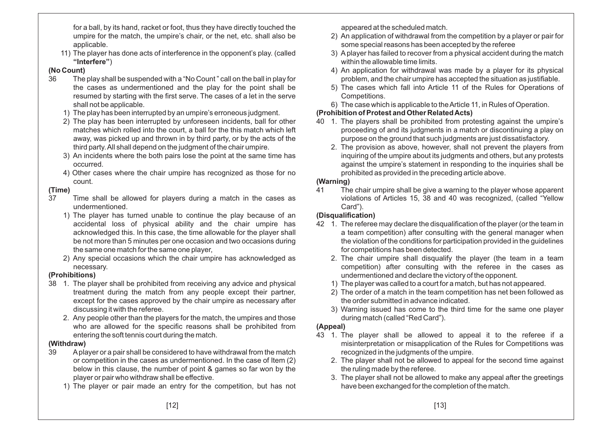for <sup>a</sup> ball, by its hand, racket or foot, thus they have directly touched the umpire for the match, the umpire's chair, or the net, etc. shall also beapplicable.

 11) The player has done acts of interference in the opponent's play. (called**"Interfere"**)

## **(No Count)**

- 36 The play shall be suspended with <sup>a</sup> "No Count " call on the ball in play for the cases as undermentioned and the play for the point shall be resumed by starting with the first serve. The cases of <sup>a</sup> let in the serveshall not be applicable.
	- 1) The play has been interrupted by an umpire's erroneous judgment.
	- 2) The play has been interrupted by unforeseen incidents, ball for other matches which rolled into the court, <sup>a</sup> ball for the this match which left away, was picked up and thrown in by third party, or by the acts of thethird party.All shall depend on the judgment of the chair umpire.
	- 3) An incidents where the both pairs lose the point at the same time hasoccurred.
	- 4) Other cases where the chair umpire has recognized as those for nocount.

## **(Time)**

- 37 Time shall be allowed for players during <sup>a</sup> match in the cases asundermentioned.
	- 1) The player has turned unable to continue the play because of an accidental loss of physical ability and the chair umpire has acknowledged this. In this case, the time allowable for the player shall be not more than 5 minutes per one occasion and two occasions duringthe same one match for the same one player,
	- 2) Any special occasions which the chair umpire has acknowledged asnecessary.

# **(Prohibitions)**

- 38 1. The player shall be prohibited from receiving any advice and physical treatment during the match from any people except their partner, except for the cases approved by the chair umpire as necessary afterdiscussing it with the referee.
	- 2. Any people other than the players for the match, the umpires and those who are allowed for the specific reasons shall be prohibited fromentering the soft tennis court during the match.

## **(Withdraw)**

- 39 Aplayer or <sup>a</sup> pair shall be considered to have withdrawal from the match or competition in the cases as undermentioned. In the case of Item (2) below in this clause, the number of point & games so far won by theplayer or pair who withdraw shall be effective.
	- 1) The player or pair made an entry for the competition, but has not

appeared at the scheduled match.

- 2) An application of withdrawal from the competition by <sup>a</sup> player or pair forsome special reasons has been accepted by the referee
- 3) A player has failed to recover from <sup>a</sup> physical accident during the matchwithin the allowable time limits.
- 4) An application for withdrawal was made by <sup>a</sup> player for its physical problem, and the chair umpire has accepted the situation as justifiable.
- 5) The cases which fall into Article 11 of the Rules for Operations of Competitions.
- 6) The case which is applicable to theArticle 11, in Rules of Operation.

## **(Prohibition of Protest and Other RelatedActs)**

- 40 1. The players shall be prohibited from protesting against the umpire's proceeding of and its judgments in <sup>a</sup> match or discontinuing <sup>a</sup> play onpurpose on the ground that such judgments are just dissatisfactory.
	- 2. The provision as above, however, shall not prevent the players from inquiring of the umpire about its judgments and others, but any protests against the umpire's statement in responding to the inquiries shall beprohibited as provided in the preceding article above.

## **(Warning)**

 41 The chair umpire shall be give <sup>a</sup> warning to the player whose apparent violations of Articles 15, 38 and 40 was recognized, (called "YellowCard").

# **(Disqualification)**

- 42 1. The referee may declare the disqualification of the player (or the team in <sup>a</sup> team competition) after consulting with the general manager when the violation of the conditions for participation provided in the guidelinesfor competitions has been detected.
	- 2. The chair umpire shall disqualify the player (the team in <sup>a</sup> team competition) after consulting with the referee in the cases asundermentioned and declare the victory of the opponent.
	- 1) The player was called to <sup>a</sup> court for <sup>a</sup> match, but has not appeared.
	- 2) The order of <sup>a</sup> match in the team competition has net been followed asthe order submitted in advance indicated.
	- 3) Warning issued has come to the third time for the same one playerduring match (called "Red Card").

# **(Appeal)**

- 43 1. The player shall be allowed to appeal it to the referee if <sup>a</sup> misinterpretation or misapplication of the Rules for Competitions wasrecognized in the judgments of the umpire.
	- 2. The player shall not be allowed to appeal for the second time against the ruling made by the referee.
	- 3. The player shall not be allowed to make any appeal after the greetingshave been exchanged for the completion of the match.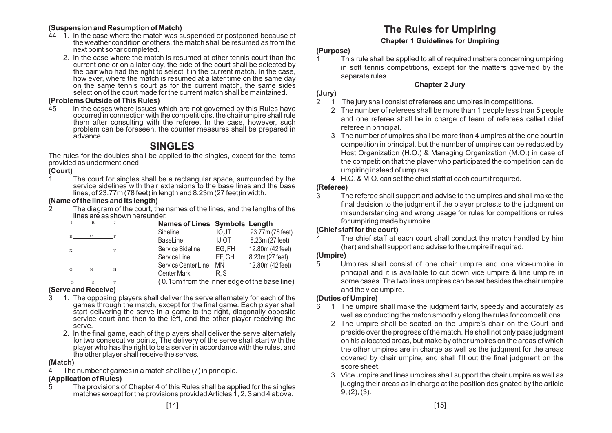#### **(Suspension and Resumption of Match)**

- 44 1. In the case where the match was suspended or postponed because of the weather condition or others, the match shall be resumed as from thenext point so far completed.
	- 2. In the case where the match is resumed at other tennis court than the current one or on <sup>a</sup> later day, the side of the court shall be selected by the pair who had the right to select it in the current match. In the case, how ever, where the match is resumed at a later time on the same day on the same tennis court as for the current match, the same sidesselection of the court made for the current match shall be maintained.

#### **(Problems Outside of This Rules)**

 45 In the cases where issues which are not governed by this Rules have occurred in connection with the competitions, the chair umpire shall rule them after consulting with the referee. In the case, however, such problem can be foreseen, the counter measures shall be prepared inadvance.

# **SINGLES**

 The rules for the doubles shall be applied to the singles, except for the itemsprovided as undermentioned.

#### **(Court)**

 1 The court for singles shall be <sup>a</sup> rectangular space, surrounded by the service sidelines with their extensions to the base lines and the baselines, of 23.77m (78 feet) in length and 8.23m (27 feet)in width.

#### **(Name of the lines and its length)**

 2 The diagram of the court, the names of the lines, and the lengths of thelines are as shown hereunder.

| E. |
|----|
|    |
|    |
|    |
|    |
| G  |

( 0.15m from the inner edge of the base line)

#### **(Serve and Receive)** O S T

- 3 1. The opposing players shall deliver the serve alternately for each of the games through the match, except for the final game. Each player shall start delivering the serve in a game to the right, diagonally opposite service court and then to the left, and the other player receiving theserve.
	- 2. In the final game, each of the players shall deliver the serve alternately for two consecutive points, The delivery of the serve shall start with the player who has the right to be <sup>a</sup> server in accordance with the rules, andthe other player shall receive the serves.

#### **(Match)**

4 The number of games in <sup>a</sup> match shall be (7) in principle.

## **(Application of Rules)**

 5 The provisions of Chapter 4 of this Rules shall be applied for the singlesmatches except for the provisions providedArticles 1, 2, 3 and 4 above.

# **The Rules for Umpiring**

# **Chapter 1 Guidelines for Umpiring**

# **(Purpose)**

 1 This rule shall be applied to all of required matters concerning umpiring in soft tennis competitions, except for the matters governed by theseparate rules.

# **Chapter 2 Jury**

### **(Jury)**

 $\overline{1}$ 2 1 The jury shall consist of referees and umpires in competitions.

- 2 The number of referees shall be more than 1 people less than 5 people and one referee shall be in charge of team of referees called chief referee in principal.
- 3 The number of umpires shall be more than 4 umpires at the one court in competition in principal, but the number of umpires can be redacted by Host Organization (H.O.) & Managing Organization (M.O.) in case of the competition that the player who participated the competition can doumpiring instead of umpires.
- 4 H.O. & M.O. can set the chief staff at each court if required.

## **(Referee)**

 3 The referee shall support and advise to the umpires and shall make the final decision to the judgment if the player protests to the judgment on misunderstanding and wrong usage for rules for competitions or rulesfor umpiring made by umpire.

## **(Chief staff for the court)**

 4 The chief staff at each court shall conduct the match handled by him(her) and shall support and advise to the umpire if required.

## **(Umpire)**

 5 Umpires shall consist of one chair umpire and one vice-umpire in principal and it is available to cut down vice umpire & line umpire in some cases. The two lines umpires can be set besides the chair umpireand the vice umpire.

## **(Duties of Umpire)**

- 6 1 The umpire shall make the judgment fairly, speedy and accurately as well as conducting the match smoothly along the rules for competitions.
	- 2 The umpire shall be seated on the umpire's chair on the Court and preside over the progress of the match. He shall not only pass judgment on his allocated areas, but make by other umpires on the areas of which the other umpires are in charge as well as the judgment for the areas covered by chair umpire, and shall fill out the final judgment on thescore sheet.
	- 3 Vice umpire and lines umpires shall support the chair umpire as well as judging their areas as in charge at the position designated by the article9, (2), (3).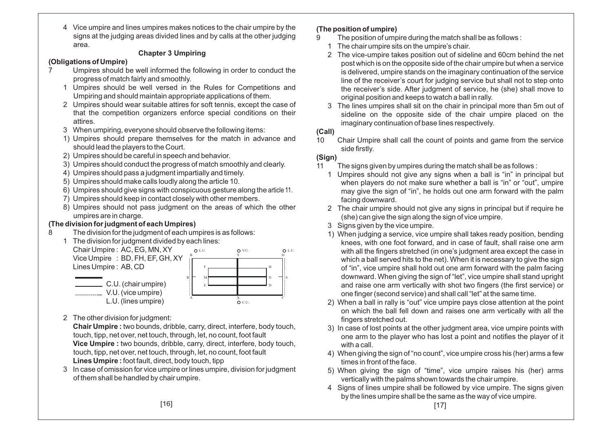4 Vice umpire and lines umpires makes notices to the chair umpire by the signs at the judging areas divided lines and by calls at the other judgingarea.

## **Chapter 3 Umpiring**

## **(Obligations of Umpire)**

- 7 Umpires should be well informed the following in order to conduct theprogress of match fairly and smoothly.
	- 1 Umpires should be well versed in the Rules for Competitions andUmpiring and should maintain appropriate applications of them.
	- 2 Umpires should wear suitable attires for soft tennis, except the case of that the competition organizers enforce special conditions on theirattires.
	- 3 When umpiring, everyone should observe the following items:
	- 1) Umpires should prepare themselves for the match in advance andshould lead the players to the Court.
	- 2) Umpires should be careful in speech and behavior.
	- 3) Umpires should conduct the progress of match smoothly and clearly.
	- 4) Umpires should pass <sup>a</sup> judgment impartially and timely.
	- 5) Umpires should make calls loudly along the article 10.
	- 6) Umpires should give signs with conspicuous gesture along the article 11.
	- 7) Umpires should keep in contact closely with other members.
	- 8) Umpires should not pass judgment on the areas of which the otherumpires are in charge.

# **(The division for judgment of each Umpires)**

8 The division for the judgment of each umpires is as follows:



2 The other division for judgment:

**Chair Umpire :** two bounds, dribble, carry, direct, interfere, body touch, touch, tipp, net over, net touch, through, let, no count, foot fault **Vice Umpire :** two bounds, dribble, carry, direct, interfere, body touch, touch, tipp, net over, net touch, through, let, no count, foot fault **Lines Umpire :** foot fault, direct, body touch, tipp

 3 In case of omission for vice umpire or lines umpire, division for judgment of them shall be handled by chair umpire.

# **(The position of umpire)**

- 9 The position of umpire during the match shall be as follows :
	- 1 The chair umpire sits on the umpire's chair.
	- 2 The vice-umpire takes position out of sideline and 60cm behind the net post which is on the opposite side of the chair umpire but when <sup>a</sup> service is delivered, umpire stands on the imaginary continuation of the service line of the receiver's court for judging service but shall not to step onto the receiver's side. After judgment of service, he (she) shall move tooriginal position and keeps to watch <sup>a</sup> ball in rally.
	- 3 The lines umpires shall sit on the chair in principal more than 5m out of sideline on the opposite side of the chair umpire placed on theimaginary continuation of base lines respectively.

# **(Call)**

10 Chair Umpire shall call the count of points and game from the serviceside firstly.

# **(Sign)**

- 11 The signs given by umpires during the match shall be as follows :
	- 1 Umpires should not give any signs when <sup>a</sup> ball is "in" in principal but when players do not make sure whether <sup>a</sup> ball is "in" or "out", umpire may give the sign of "in", he holds out one arm forward with the palmfacing downward.
	- 2 The chair umpire should not give any signs in principal but if require he(she) can give the sign along the sign of vice umpire.
	- 3 Signs given by the vice umpire.
	- 1) When judging <sup>a</sup> service, vice umpire shall takes ready position, bending knees, with one foot forward, and in case of fault, shall raise one arm with all the fingers stretched (in one's judgment area except the case in which <sup>a</sup> ball served hits to the net). When it is necessary to give the sign of "in", vice umpire shall hold out one arm forward with the palm facing downward. When giving the sign of "let", vice umpire shall stand upright and raise one arm vertically with shot two fingers (the first service) orone finger (second service) and shall call "let" at the same time.
	- 2) When <sup>a</sup> ball in rally is "out" vice umpire pays close attention at the point on which the ball fell down and raises one arm vertically with all thefingers stretched out.
	- 3) In case of lost points at the other judgment area, vice umpire points with one arm to the player who has lost <sup>a</sup> point and notifies the player of it with <sup>a</sup> call.
	- 4) When giving the sign of "no count", vice umpire cross his (her) arms <sup>a</sup> fewtimes in front of the face.
	- 5) When giving the sign of "time", vice umpire raises his (her) armsvertically with the palms shown towards the chair umpire.
	- 4 Signs of lines umpire shall be followed by vice umpire. The signs givenby the lines umpire shall be the same as the way of vice umpire.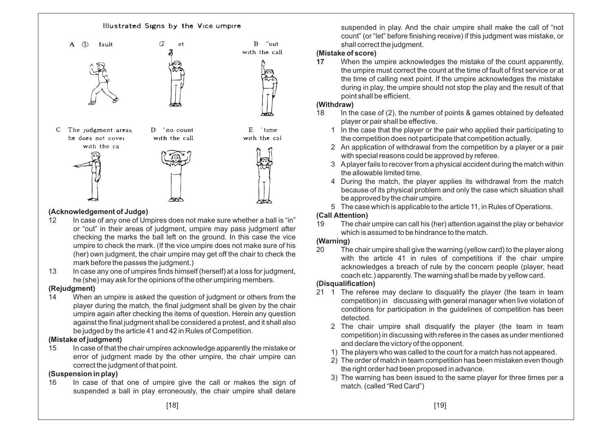

# **(Acknowledgement of Judge)**<br> **12** In case of any one of Un

- 12 In case of any one of Umpires does not make sure whether <sup>a</sup> ball is "in" or "out" in their areas of judgment, umpire may pass judgment after checking the marks the ball left on the ground. In this case the vice umpire to check the mark. (If the vice umpire does not make sure of his (her) own judgment, the chair umpire may get off the chair to check themark before the passes the judgment.)
- 13 In case any one of umpires finds himself (herself) at <sup>a</sup> loss for judgment, he (she) may ask for the opinions of the other umpiring members.

#### **(Rejudgment)**

 14 When an umpire is asked the question of judgment or others from the player during the match, the final judgment shall be given by the chair umpire again after checking the items of question. Herein any question against the final judgment shall be considered <sup>a</sup> protest, and it shall alsobe judged by the article 41 and 42 in Rules of Competition.

#### **(Mistake of judgment)**

 15 In case of that the chair umpires acknowledge apparently the mistake or error of judgment made by the other umpire, the chair umpire cancorrect the judgment of that point.

### **(Suspension in play)**

 16 In case of that one of umpire give the call or makes the sign of suspended a ball in play erroneously, the chair umpire shall delare suspended in play. And the chair umpire shall make the call of "not count" (or "let" before finishing receive) if this judgment was mistake, orshall correct the judgment.

## **(Mistake of score)**

 When the umpire acknowledges the mistake of the count apparently, **17**the umpire must correct the count at the time of fault of first service or at the time of calling next point. If the umpire acknowledges the mistake during in play, the umpire should not stop the play and the result of that point shall be efficient.

#### **(Withdraw)**

- 18 In the case of (2), the number of points & games obtained by defeated player or pair shall be effective.
	- 1 In the case that the player or the pair who applied their participating tothe competition does not participate that competition actually.
	- 2 An application of withdrawal from the competition by <sup>a</sup> player or <sup>a</sup> pairwith special reasons could be approved by referee.
	- 3 Aplayer fails to recover from <sup>a</sup> physical accident during the match withinthe allowable limited time.
	- 4 During the match, the player applies its withdrawal from the match because of its physical problem and only the case which situation shall be approved by the chair umpire.
	- 5 The case which is applicable to the article 11, in Rules of Operations.

## **(Call Attention)**

 19 The chair umpire can call his (her) attention against the play or behaviorwhich is assumed to be hindrance to the match.

## **(Warning)**

 20 The chair umpire shall give the warning (yellow card) to the player along with the article 41 in rules of competitions if the chair umpire acknowledges <sup>a</sup> breach of rule by the concern people (player, headcoach etc.) apparently. The warning shall be made by yellow card.

## **(Disqualification)**

- 21 1 The referee may declare to disqualify the player (the team in team competition) in discussing with general manager when live violation of conditions for participation in the guidelines of competition has beendetected.
	- 2 The chair umpire shall disqualify the player (the team in team competition) in discussing with referee in the cases as under mentionedand declare the victory of the opponent.
	- 1) The players who was called to the court for <sup>a</sup> match has not appeared.
	- 2) The order of match in team competition has been mistaken even thoughthe right order had been proposed in advance.
	- 3) The warning has been issued to the same player for three times per <sup>a</sup>match. (called "Red Card")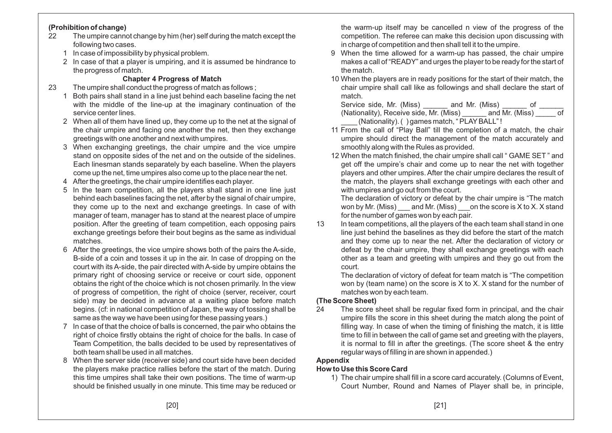### **(Prohibition of change)**

- 22 The umpire cannot change by him (her) self during the match except thefollowing two cases.
	- 1 In case of impossibility by physical problem.
	- 2 In case of that <sup>a</sup> player is umpiring, and it is assumed be hindrance tothe progress of match.

## **Chapter 4 Progress of Match**

- 23 The umpire shall conduct the progress of match as follows ;
	- 1 Both pairs shall stand in <sup>a</sup> line just behind each baseline facing the net with the middle of the line-up at the imaginary continuation of theservice center lines.
	- 2 When all of them have lined up, they come up to the net at the signal of the chair umpire and facing one another the net, then they exchangegreetings with one another and next with umpires.
	- 3 When exchanging greetings, the chair umpire and the vice umpire stand on opposite sides of the net and on the outside of the sidelines. Each linesman stands separately by each baseline. When the playerscome up the net, time umpires also come up to the place near the net.
	- 4 After the greetings, the chair umpire identifies each player.
	- 5 In the team competition, all the players shall stand in one line just behind each baselines facing the net, after by the signal of chair umpire, they come up to the next and exchange greetings. In case of with manager of team, manager has to stand at the nearest place of umpire position. After the greeting of team competition, each opposing pairs exchange greetings before their bout begins as the same as individual matches.
	- 6 After the greetings, the vice umpire shows both of the pairs the A-side, B-side of <sup>a</sup> coin and tosses it up in the air. In case of dropping on the court with its A-side, the pair directed with A-side by umpire obtains the primary right of choosing service or receive or court side, opponent obtains the right of the choice which is not chosen primarily. In the view of progress of competition, the right of choice (server, receiver, court side) may be decided in advance at <sup>a</sup> waiting place before match begins. (cf: in national competition of Japan, the way of tossing shall besame as the way we have been using for these passing years.)
	- 7 In case of that the choice of balls is concerned, the pair who obtains the right of choice firstly obtains the right of choice for the balls. In case of Team Competition, the balls decided to be used by representatives of both team shall be used in all matches.
	- 8 When the server side (receiver side) and court side have been decided the players make practice rallies before the start of the match. During this time umpires shall take their own positions. The time of warm-upshould be finished usually in one minute. This time may be reduced or

the warm-up itself may be cancelled <sup>n</sup> view of the progress of the competition. The referee can make this decision upon discussing within charge of competition and then shall tell it to the umpire.

- 9 When the time allowed for <sup>a</sup> warm-up has passed, the chair umpire makes <sup>a</sup> call of "READY" and urges the player to be ready for the start of the match.
- 10 When the players are in ready positions for the start of their match, the chair umpire shall call like as followings and shall declare the start of match.

| Service side, Mr. (Miss)                    | and Mr. (Miss) |                |    |  |
|---------------------------------------------|----------------|----------------|----|--|
| (Nationality), Receive side, Mr. (Miss)     |                | and Mr. (Miss) | ot |  |
| (Nationality). () games match, "PLAY BALL"! |                |                |    |  |

- 11 From the call of "Play Ball" till the completion of <sup>a</sup> match, the chair umpire should direct the management of the match accurately andsmoothly along with the Rules as provided.
- 12 When the match finished, the chair umpire shall call " GAME SET " and get off the umpire's chair and come up to near the net with together players and other umpires. After the chair umpire declares the result of the match, the players shall exchange greetings with each other andwith umpires and go out from the court.

The declaration of victory or defeat by the chair umpire is "The match won by Mr. (Miss) \_\_\_ and Mr. (Miss) \_\_\_on the score is X to X. X standfor the number of games won by each pair.

13 In team competitions, all the players of the each team shall stand in one line just behind the baselines as they did before the start of the match and they come up to near the net. After the declaration of victory or defeat by the chair umpire, they shall exchange greetings with each other as <sup>a</sup> team and greeting with umpires and they go out from thecourt.

 The declaration of victory of defeat for team match is "The competition won by (team name) on the score is X to X. X stand for the number of matches won by each team.

# **(The Score Sheet)**

 24 The score sheet shall be regular fixed form in principal, and the chair umpire fills the score in this sheet during the match along the point of filling way. In case of when the timing of finishing the match, it is little time to fill in between the call of game set and greeting with the players, it is normal to fill in after the greetings. (The score sheet & the entryregular ways of filling in are shown in appended.)

**Appendix**

# **How to Use this Score Card**

 1) The chair umpire shall fill in <sup>a</sup> score card accurately. (Columns of Event, Court Number, Round and Names of Player shall be, in principle,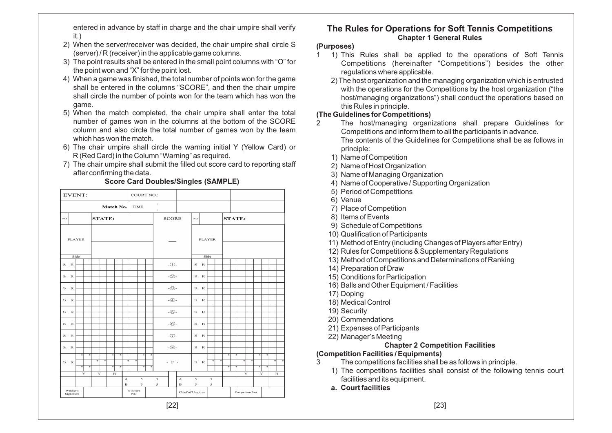entered in advance by staff in charge and the chair umpire shall verifyit.)

- 2) When the server/receiver was decided, the chair umpire shall circle S(server) / R (receiver) in the applicable game columns.
- 3) The point results shall be entered in the small point columns with "O" for the point won and "X" for the point lost.
- 4) When <sup>a</sup> game was finished, the total number of points won for the game shall be entered in the columns "SCORE", and then the chair umpire shall circle the number of points won for the team which has won thegame.
- 5) When the match completed, the chair umpire shall enter the total number of games won in the columns at the bottom of the SCORE column and also circle the total number of games won by the teamwhich has won the match.
- 6) The chair umpire shall circle the warning initial Y (Yellow Card) orR (Red Card) in the Column "Warning" as required.
- 7) The chair umpire shall submit the filled out score card to reporting staff after confirming the data.

|    | EVENT:                |                        |                        |               |   |                        |        |                                        |                | <b>COURT NO.:</b> |        |                           |                 |                         |             |              |                    |   |               |        |   |                 |        |                        |               |  |
|----|-----------------------|------------------------|------------------------|---------------|---|------------------------|--------|----------------------------------------|----------------|-------------------|--------|---------------------------|-----------------|-------------------------|-------------|--------------|--------------------|---|---------------|--------|---|-----------------|--------|------------------------|---------------|--|
|    |                       |                        |                        |               |   | Match No.              |        |                                        |                | TIME              |        | ÷<br>$\ddot{\phantom{a}}$ |                 |                         |             |              |                    |   |               |        |   |                 |        |                        |               |  |
| NO |                       |                        |                        | <b>STATE:</b> |   |                        |        |                                        |                |                   |        |                           | <b>SCORE</b>    |                         | $_{\rm NO}$ |              |                    |   | <b>STATE:</b> |        |   |                 |        |                        |               |  |
|    | <b>PLAYER</b>         |                        |                        |               |   |                        |        |                                        |                |                   |        |                           |                 | <b>PLAYER</b>           |             |              |                    |   |               |        |   |                 |        |                        |               |  |
|    | Side                  |                        |                        |               |   |                        |        |                                        |                |                   |        |                           |                 |                         |             | Side         |                    |   |               |        |   |                 |        |                        |               |  |
| s  | $\mathbb R$           |                        |                        |               |   |                        |        |                                        |                |                   |        |                           | - $\bigcirc$ -  |                         | s           | $\mathbb{R}$ |                    |   |               |        |   |                 |        |                        |               |  |
| S. | $\mathbb{R}$          |                        |                        |               |   |                        |        |                                        |                |                   |        |                           | -②-             |                         | s           | R            |                    |   |               |        |   |                 |        |                        |               |  |
| s  | $\mathbb R$           |                        |                        |               |   |                        |        |                                        |                |                   |        |                           | $-Q$            |                         | $\rm s$     | $\mathbb R$  |                    |   |               |        |   |                 |        |                        |               |  |
| s  | $\mathbf R$           |                        |                        |               |   |                        |        |                                        |                |                   |        |                           | $ \bigoplus$ -  |                         | s           | $_{\rm R}$   |                    |   |               |        |   |                 |        |                        |               |  |
| s  | R                     |                        |                        |               |   |                        |        |                                        |                |                   |        |                           | $ \bigcirc$     |                         | s           | $\mathbb{R}$ |                    |   |               |        |   |                 |        |                        |               |  |
| s  | $\mathbb R$           |                        |                        |               |   |                        |        |                                        |                |                   |        |                           | $-6$ -          |                         | s           | $_{\rm R}$   |                    |   |               |        |   |                 |        |                        |               |  |
| s  | $\mathbb{R}$          |                        |                        |               |   |                        |        |                                        |                |                   |        |                           | $-\bigcirc$     |                         | s           | $_{\rm R}$   |                    |   |               |        |   |                 |        |                        |               |  |
| s  | $\mathbb R$           |                        |                        |               |   |                        |        |                                        |                |                   |        |                           | $ \circ$        |                         | s           | $\mathbb R$  |                    |   |               |        |   |                 |        |                        |               |  |
| s  | $\mathbb R$           | ÷<br>$\overline{\ast}$ | ÷<br>$\overline{\ast}$ | 本             | ¥ | Ŧ<br>$\overline{\ast}$ | ×<br>⋥ | ₩                                      | *              | ۰<br>₹            | ÷<br>宋 |                           | $\sim$ F $\sim$ |                         | $\rm s$     | $\mathbb R$  | 寧                  | ₩ | ÷<br>⋥        | ×<br>₹ | 寧 | 寄               | ۰<br>⋥ | ÷<br>$\overline{\ast}$ | $\frac{1}{2}$ |  |
|    |                       |                        | Y                      | Y             |   | $\mathbb R$            |        |                                        |                |                   |        |                           |                 |                         |             |              |                    |   |               |        | Y |                 | Y      |                        | $\mathbb R$   |  |
|    |                       |                        |                        |               |   |                        |        | $\boldsymbol{\Lambda}$<br>$\mathbf{B}$ |                | 5<br>5            |        | 5<br>5                    |                 | А<br>$\mathbf{B}$       | 5<br>5      |              | 5<br>$\mathfrak s$ |   |               |        |   |                 |        |                        |               |  |
|    | Winner's<br>Signature |                        |                        |               |   |                        |        |                                        | Winner's<br>NO |                   |        |                           |                 | <b>Chief of Umpires</b> |             |              |                    |   |               |        |   | Competiton Part |        |                        |               |  |

### **Score Card Doubles/Singles (SAMPLE)**

## **The Rules for Operations for Soft Tennis CompetitionsChapter 1 General Rules**

#### **(Purposes)**

- 1 1) This Rules shall be applied to the operations of Soft Tennis Competitions (hereinafter "Competitions") besides the other regulations where applicable.
	- 2) The host organization and the managing organization which is entrusted with the operations for the Competitions by the host organization ("the host/managing organizations") shall conduct the operations based onthis Rules in principle.

## **(The Guidelines for Competitions)**

- 2 The host/managing organizations shall prepare Guidelines forCompetitions and inform them to all the participants in advance. The contents of the Guidelines for Competitions shall be as follows inprinciple:
	- 1) Name of Competition
	- 2) Name of Host Organization
	- 3) Name of Managing Organization
	- 4) Name of Cooperative / Supporting Organization
	- 5) Period of Competitions
	- 6) Venue
	- 7) Place of Competition
	- 8) Items of Events
	- 9) Schedule of Competitions
	- 10) Qualification of Participants
	- 11) Method of Entry (including Changes of Players after Entry)
	- 12) Rules for Competitions & Supplementary Regulations
	- 13) Method of Competitions and Determinations of Ranking
	- 14) Preparation of Draw
	- 15) Conditions for Participation
	- 16) Balls and Other Equipment / Facilities
	- 17) Doping
	- 18) Medical Control
	- 19) Security
	- 20) Commendations
	- 21) Expenses of Participants
	- 22) Manager's Meeting

# **Chapter 2 Competition Facilities**

# **(Competition Facilities / Equipments)**

- 3 The competitions facilities shall be as follows in principle.
	- 1) The competitions facilities shall consist of the following tennis court facilities and its equipment.
	- **a. Court facilities**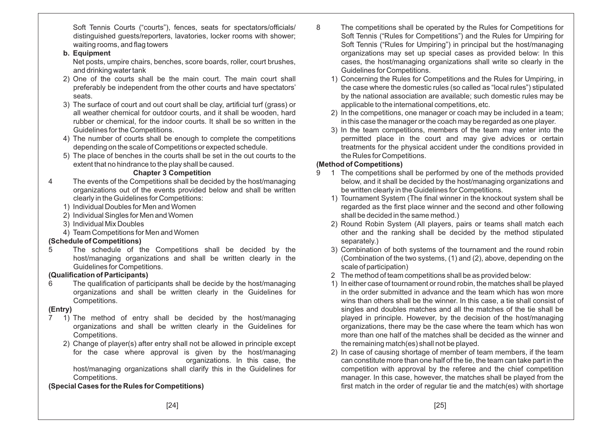Soft Tennis Courts ("courts"), fences, seats for spectators/officials/ distinguished guests/reporters, lavatories, locker rooms with shower; waiting rooms, and flag towers

## **b. Equipment**

 Net posts, umpire chairs, benches, score boards, roller, court brushes, and drinking water tank

- 2) One of the courts shall be the main court. The main court shall preferably be independent from the other courts and have spectators' seats.
- 3) The surface of court and out court shall be clay, artificial turf (grass) or all weather chemical for outdoor courts, and it shall be wooden, hard rubber or chemical, for the indoor courts. It shall be so written in theGuidelines for the Competitions.
- 4) The number of courts shall be enough to complete the competitionsdepending on the scale of Competitions or expected schedule.
- 5) The place of benches in the courts shall be set in the out courts to theextent that no hindrance to the play shall be caused.

## **Chapter 3 Competition**

- 4 The events of the Competitions shall be decided by the host/managing organizations out of the events provided below and shall be writtenclearly in the Guidelines for Competitions:
	- 1) Individual Doubles for Men and Women
	- 2) Individual Singles for Men and Women
	- 3) Individual Mix Doubles
	- 4) Team Competitions for Men and Women

# **(Schedule of Competitions)**

 5 The schedule of the Competitions shall be decided by the host/managing organizations and shall be written clearly in theGuidelines for Competitions.

# **(Qualification of Participants)**

 6 The qualification of participants shall be decide by the host/managing organizations and shall be written clearly in the Guidelines forCompetitions.

# **(Entry)**

- 7 1) The method of entry shall be decided by the host/managing organizations and shall be written clearly in the Guidelines forCompetitions.
	- 2) Change of player(s) after entry shall not be allowed in principle except for the case where approval is given by the host/managing organizations. In this case, the host/managing organizations shall clarify this in the Guidelines forCompetitions.

# **(Special Cases for the Rules for Competitions)**

- 8 The competitions shall be operated by the Rules for Competitions for Soft Tennis ("Rules for Competitions") and the Rules for Umpiring for Soft Tennis ("Rules for Umpiring") in principal but the host/managing organizations may set up special cases as provided below: In this cases, the host/managing organizations shall write so clearly in theGuidelines for Competitions.
	- 1) Concerning the Rules for Competitions and the Rules for Umpiring, in the case where the domestic rules (so called as "local rules") stipulated by the national association are available; such domestic rules may beapplicable to the international competitions, etc.
	- 2) In the competitions, one manager or coach may be included in <sup>a</sup> team; in this case the manager or the coach may be regarded as one player.
	- 3) In the team competitions, members of the team may enter into the permitted place in the court and may give advices or certain treatments for the physical accident under the conditions provided inthe Rules for Competitions.

# **(Method of Competitions)**

- 9 1 The competitions shall be performed by one of the methods provided below, and it shall be decided by the host/managing organizations andbe written clearly in the Guidelines for Competitions.
	- 1) Tournament System (The final winner in the knockout system shall be regarded as the first place winner and the second and other followingshall be decided in the same method.)
	- 2) Round Robin System (All players, pairs or teams shall match each other and the ranking shall be decided by the method stipulatedseparately.)
	- 3) Combination of both systems of the tournament and the round robin (Combination of the two systems, (1) and (2), above, depending on thescale of participation)
	- 2 The method of team competitions shall be as provided below:
	- 1) In either case of tournament or round robin, the matches shall be played in the order submitted in advance and the team which has won more wins than others shall be the winner. In this case, <sup>a</sup> tie shall consist of singles and doubles matches and all the matches of the tie shall be played in principle. However, by the decision of the host/managing organizations, there may be the case where the team which has won more than one half of the matches shall be decided as the winner andthe remaining match(es) shall not be played.
	- 2) In case of causing shortage of member of team members, if the team can constitute more than one half of the tie, the team can take part in the competition with approval by the referee and the chief competition manager. In this case, however, the matches shall be played from thefirst match in the order of regular tie and the match(es) with shortage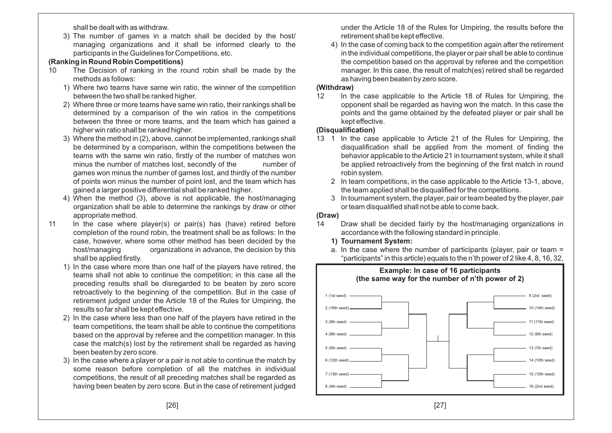shall be dealt with as withdraw.

3) The number of games in <sup>a</sup> match shall be decided by the host/ managing organizations and it shall be informed clearly to theparticipants in the Guidelines for Competitions, etc.

#### **(Ranking in Round Robin Competitions)**

- 10 The Decision of ranking in the round robin shall be made by themethods as follows:
	- 1) Where two teams have same win ratio, the winner of the competitionbetween the two shall be ranked higher.
	- 2) Where three or more teams have same win ratio, their rankings shall be determined by <sup>a</sup> comparison of the win ratios in the competitions between the three or more teams, and the team which has gained <sup>a</sup>higher win ratio shall be ranked higher.
	- 3) Where the method in (2), above, cannot be implemented, rankings shall be determined by <sup>a</sup> comparison, within the competitions between the teams with the same win ratio, firstly of the number of matches wonnumber of minus the number of matches lost, secondly of the games won minus the number of games lost, and thirdly of the number of points won minus the number of point lost, and the team which hasgained <sup>a</sup> larger positive differential shall be ranked higher.
	- 4) When the method (3), above is not applicable, the host/managing organization shall be able to determine the rankings by draw or otherappropriate method.
- 11 In the case where player(s) or pair(s) has (have) retired before completion of the round robin, the treatment shall be as follows: In the case, however, where some other method has been decided by the host/managing organizations in advance, the decision by thisshall be applied firstly.
	- 1) In the case where more than one half of the players have retired, the teams shall not able to continue the competition; in this case all the preceding results shall be disregarded to be beaten by zero score retroactively to the beginning of the competition. But in the case of retirement judged under the Article 18 of the Rules for Umpiring, theresults so far shall be kept effective.
	- 2) In the case where less than one half of the players have retired in the team competitions, the team shall be able to continue the competitions based on the approval by referee and the competition manager. In this case the match(s) lost by the retirement shall be regarded as havingbeen beaten by zero score.
	- 3) In the case where <sup>a</sup> player or <sup>a</sup> pair is not able to continue the match by some reason before completion of all the matches in individual competitions, the result of all preceding matches shall be regarded ashaving been beaten by zero score. But in the case of retirement judged

under the Article 18 of the Rules for Umpiring, the results before theretirement shall be kept effective.

4) In the case of coming back to the competition again after the retirement in the individual competitions, the player or pair shall be able to continue the competition based on the approval by referee and the competition manager. In this case, the result of match(es) retired shall be regardedas having been beaten by zero score.

#### **(Withdraw)**

 12 In the case applicable to the Article 18 of Rules for Umpiring, the opponent shall be regarded as having won the match. In this case the points and the game obtained by the defeated player or pair shall bekept effective.

#### **(Disqualification)**

- 13 1 In the case applicable to Article 21 of the Rules for Umpiring, the disqualification shall be applied from the moment of finding the behavior applicable to theArticle 21 in tournament system, while it shall be applied retroactively from the beginning of the first match in roundrobin system.
	- 2 In team competitions, in the case applicable to the Article 13-1, above, the team applied shall be disqualified for the competitions.
	- 3 In tournament system, the player, pair or team beated by the player, pairor team disqualified shall not be able to come back.

#### **(Draw)**

14 Draw shall be decided fairly by the host/managing organizations inaccordance with the following standard in principle.

#### **1) Tournament System:**

 a. In the case where the number of participants (player, pair or team <sup>=</sup>"participants" in this article) equals to the <sup>n</sup>'th power of <sup>2</sup> like 4, 8, 16, 32,

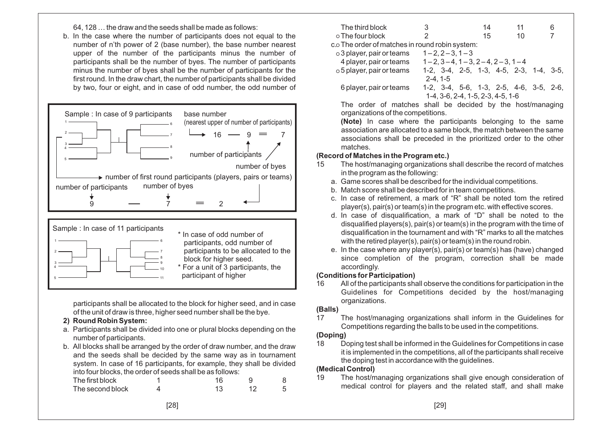64, 128…

 the draw and the seeds shall be made as follows: b. In the case where the number of participants does not equal to the number of <sup>n</sup>'th power of 2 (base number), the base number nearest upper of the number of the participants minus the number of participants shall be the number of byes. The number of participants minus the number of byes shall be the number of participants for the first round. In the draw chart, the number of participants shall be dividedby two, four or eight, and in case of odd number, the odd number of





participants shall be allocated to the block for higher seed, and in caseof the unit of draw is three, higher seed number shall be the bye.

- **2) Round Robin System:**
- a. Participants shall be divided into one or plural blocks depending on thenumber of participants.
- b. All blocks shall be arranged by the order of draw number, and the draw and the seeds shall be decided by the same way as in tournament system. In case of 16 participants, for example, they shall be dividedinto four blocks, the order of seeds shall be as follows:

| The first block  |  |  |
|------------------|--|--|
| The second block |  |  |

| The third block                                       | 3                                             | 14 | 11 | 6 |
|-------------------------------------------------------|-----------------------------------------------|----|----|---|
| ○ The four block                                      | 2                                             | 15 | 10 |   |
| $c \circ$ The order of matches in round robin system: |                                               |    |    |   |
| $\circ$ 3 player, pair or teams                       | $1 - 2, 2 - 3, 1 - 3$                         |    |    |   |
| 4 player, pair or teams                               | $1-2$ , $3-4$ , $1-3$ , $2-4$ , $2-3$ , $1-4$ |    |    |   |
| $\circ$ 5 player, pair or teams                       | 1-2, 3-4, 2-5, 1-3, 4-5, 2-3, 1-4, 3-5,       |    |    |   |
|                                                       | $2 - 4.1 - 5$                                 |    |    |   |
| 6 player, pair or teams                               | 1-2, 3-4, 5-6, 1-3, 2-5, 4-6, 3-5, 2-6,       |    |    |   |
|                                                       | 1-4, 3-6, 2-4, 1-5, 2-3, 4-5, 1-6             |    |    |   |
|                                                       |                                               |    |    |   |

 The order of matches shall be decided by the host/managingorganizations of the competitions.

**(Note)** In case where the participants belonging to the same association are allocated to <sup>a</sup> same block, the match between the same associations shall be preceded in the prioritized order to the othermatches.

## **(Record of Matches in the Program etc.)**

- 15 The host/managing organizations shall describe the record of matchesin the program as the following:
	- a. Game scores shall be described for the individual competitions.
	- b. Match score shall be described for in team competitions.
	- c. In case of retirement, <sup>a</sup> mark of "R" shall be noted tom the retiredplayer(s), pair(s) or team(s) in the program etc. with effective scores.
	- d. In case of disqualification, <sup>a</sup> mark of "D" shall be noted to the disqualified players(s), pair(s) or team(s) in the program with the time of disqualification in the tournament and with "R" marks to all the matches with the retired player(s), pair(s) or team(s) in the round robin.
	- e. In the case where any player(s), pair(s) or team(s) has (have) changed since completion of the program, correction shall be madeaccordingly.

### **(Conditions for Participation)**

 16 All of the participants shall observe the conditions for participation in the Guidelines for Competitions decided by the host/managingorganizations.

### **(Balls)**

17 The host/managing organizations shall inform in the Guidelines forCompetitions regarding the balls to be used in the competitions.

### **(Doping)**

 18 Doping test shall be informed in the Guidelines for Competitions in case it is implemented in the competitions, all of the participants shall receivethe doping test in accordance with the guidelines.

### **(Medical Control)**

 19 The host/managing organizations shall give enough consideration of medical control for players and the related staff, and shall make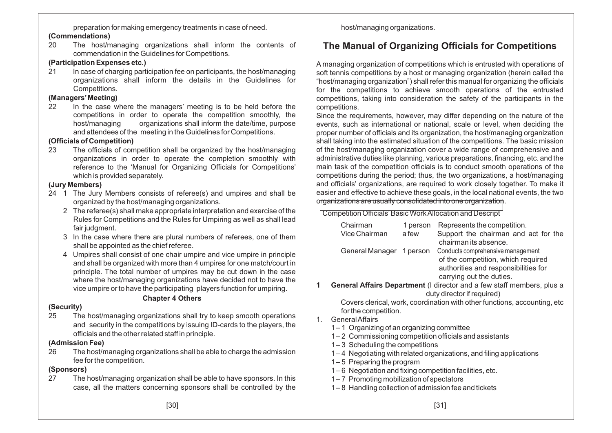preparation for making emergency treatments in case of need.

#### **(Commendations)**

 20 The host/managing organizations shall inform the contents of commendation in the Guidelines for Competitions.

#### **(Participation Expenses etc.)**

21 In case of charging participation fee on participants, the host/managing organizations shall inform the details in the Guidelines forCompetitions.

### **(Managers'Meeting)**

 22 In the case where the managers' meeting is to be held before the competitions in order to operate the competition smoothly, the host/managing organizations shall inform the date/time, purposeand attendees of the meeting in the Guidelines for Competitions.

## **(Officials of Competition)**

 23 The officials of competition shall be organized by the host/managing organizations in order to operate the completion smoothly with reference to the 'Manual for Organizing Officials for Competitions' which is provided separately.

## **(Jury Members)**

- 24 1 The Jury Members consists of referee(s) and umpires and shall beorganized by the host/managing organizations.
	- 2 The referee(s) shall make appropriate interpretation and exercise of the Rules for Competitions and the Rules for Umpiring as well as shall leadfair judgment.
	- 3 In the case where there are plural numbers of referees, one of themshall be appointed as the chief referee.
	- 4 Umpires shall consist of one chair umpire and vice umpire in principle and shall be organized with more than 4 umpires for one match/court in principle. The total number of umpires may be cut down in the case where the host/managing organizations have decided not to have thevice umpire or to have the participating players function for umpiring.

### **Chapter 4 Others**

### **(Security)**

 25 The host/managing organizations shall try to keep smooth operations and security in the competitions by issuing ID-cards to the players, theofficials and the other related staff in principle.

### **(Admission Fee)**

 26 The host/managing organizations shall be able to charge the admissionfee for the competition.

### **(Sponsors)**

 27 The host/managing organization shall be able to have sponsors. In thiscase, all the matters concerning sponsors shall be controlled by the host/managing organizations.

# **The Manual of Organizing Officials for Competitions**

A managing organization of competitions which is entrusted with operations of soft tennis competitions by <sup>a</sup> host or managing organization (herein called the "host/managing organization") shall refer this manual for organizing the officials for the competitions to achieve smooth operations of the entrusted competitions, taking into consideration the safety of the participants in thecompetitions.

 Since the requirements, however, may differ depending on the nature of the events, such as international or national, scale or level, when deciding the proper number of officials and its organization, the host/managing organization shall taking into the estimated situation of the competitions. The basic mission of the host/managing organization cover <sup>a</sup> wide range of comprehensive and administrative duties like planning, various preparations, financing, etc. and the main task of the competition officials is to conduct smooth operations of the competitions during the period; thus, the two organizations, <sup>a</sup> host/managing and officials' organizations, are required to work closely together. To make it easier and effective to achieve these goals, in the local national events, the twoorganizations are usually consolidated into one organization.

Competition Officials'Basic WorkAllocation and Descript

| Chairman                                                                     | 1 person | Represents the competition.                                   |  |  |  |  |  |
|------------------------------------------------------------------------------|----------|---------------------------------------------------------------|--|--|--|--|--|
| Vice Chairman                                                                | a few    | Support the chairman and act for the<br>chairman its absence. |  |  |  |  |  |
|                                                                              |          |                                                               |  |  |  |  |  |
| General Manager 1 person                                                     |          | Conducts comprehensive management                             |  |  |  |  |  |
|                                                                              |          | of the competition, which required                            |  |  |  |  |  |
|                                                                              |          | authorities and responsibilities for                          |  |  |  |  |  |
|                                                                              |          | carrying out the duties.                                      |  |  |  |  |  |
| <b>General Affairs Department</b> (I director and a few staff members plus a |          |                                                               |  |  |  |  |  |

**1 General Affairs Department** (I director and <sup>a</sup> few staff members, plus <sup>a</sup>duty director if required)

 Covers clerical, work, coordination with other functions, accounting, etcfor the competition.

- 1. GeneralAffairs
	- 1 <sup>1</sup> Organizing of an organizing committee
	- 1 <sup>2</sup> Commissioning competition officials and assistants
	- 1 <sup>3</sup> Scheduling the competitions
	- 1 <sup>4</sup> Negotiating with related organizations, and filing applications
	- 1 <sup>5</sup> Preparing the program
	- 1 <sup>6</sup> Negotiation and fixing competition facilities, etc.
	- 1 <sup>7</sup> Promoting mobilization of spectators
	- 1 <sup>8</sup> Handling collection of admission fee and tickets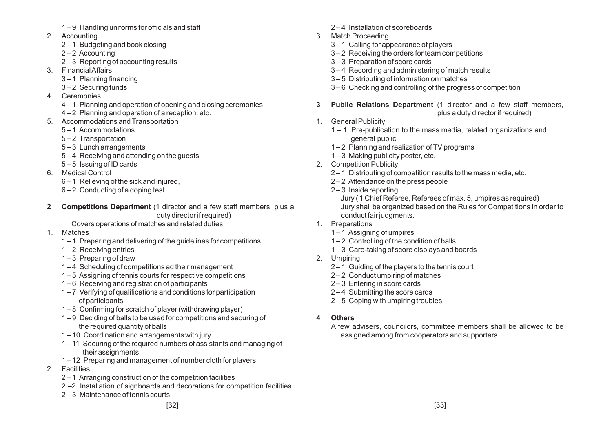- 2. Accounting
	- 2 <sup>1</sup> Budgeting and book closing
	- 2 <sup>2</sup> Accounting
	- 2 <sup>3</sup> Reporting of accounting results
- 3. FinancialAffairs
	- 3 <sup>1</sup> Planning financing
	- 3 <sup>2</sup> Securing funds
- 4. Ceremonies
	- 4 <sup>1</sup> Planning and operation of opening and closing ceremonies
	- 4 <sup>2</sup> Planning and operation of <sup>a</sup> reception, etc.
- 5. Accommodations and Transportation
	- 5 <sup>1</sup> Accommodations
	- 5 <sup>2</sup> Transportation
	- 5 <sup>3</sup> Lunch arrangements
	- 5 4 Receiving and attending on the guests
	- 5 <sup>5</sup> Issuing of ID cards
- 6. Medical Control
	- 6 <sup>1</sup> Relieving of the sick and injured,
	- 6 <sup>2</sup> Conducting of <sup>a</sup> doping test
- **2 Competitions Department** (1 director and <sup>a</sup> few staff members, plus <sup>a</sup>duty director if required)
	- Covers operations of matches and related duties.
- 1. Matches
	- 1 <sup>1</sup> Preparing and delivering of the guidelines for competitions
	- 1 <sup>2</sup> Receiving entries
	- 1 <sup>3</sup> Preparing of draw
	- 1 <sup>4</sup> Scheduling of competitions ad their management
	- 1 <sup>5</sup> Assigning of tennis courts for respective competitions
	- 1 <sup>6</sup> Receiving and registration of participants
	- 1 <sup>7</sup> Verifying of qualifications and conditions for participation of participants
	- 1 <sup>8</sup> Confirming for scratch of player (withdrawing player)
	- 1 <sup>9</sup> Deciding of balls to be used for competitions and securing of the required quantity of balls
	- 1 <sup>10</sup> Coordination and arrangements with jury
	- 1 <sup>11</sup> Securing of the required numbers of assistants and managing of their assignments
	- 1 <sup>12</sup> Preparing and management of number cloth for players
- 2. Facilities
	- 2 <sup>1</sup> Arranging construction of the competition facilities
	- 2 –2 Installation of signboards and decorations for competition facilities
	- 2 <sup>3</sup> Maintenance of tennis courts

[32]

- 2 <sup>4</sup> Installation of scoreboards
- 3. Match Proceeding
	- 3 <sup>1</sup> Calling for appearance of players
	- 3 <sup>2</sup> Receiving the orders for team competitions
	- 3 <sup>3</sup> Preparation of score cards
	- 3 <sup>4</sup> Recording and administering of match results
	- 3 <sup>5</sup> Distributing of information on matches
	- 3 <sup>6</sup> Checking and controlling of the progress of competition
- **3 Public Relations Department** (1 director and <sup>a</sup> few staff members, plus <sup>a</sup> duty director if required)
- 1. General Publicity
	- 1 1 Pre-publication to the mass media, related organizations and general public
	- 1 <sup>2</sup> Planning and realization of TV programs
	- 1-3 Making publicity poster, etc.
- 2. Competition Publicity
	- 2 <sup>1</sup> Distributing of competition results to the mass media, etc.
	- 2 <sup>2</sup> Attendance on the press people
	- 2 <sup>3</sup> Inside reporting

Jury ( 1 Chief Referee, Referees of max. 5, umpires as required) Jury shall be organized based on the Rules for Competitions in order toconduct fair judgments.

- 1. Preparations
	- 1 <sup>1</sup> Assigning of umpires
	- 1 <sup>2</sup> Controlling of the condition of balls
	- 1 <sup>3</sup> Care-taking of score displays and boards
- 2. Umpiring
	- 2 <sup>1</sup> Guiding of the players to the tennis court
	- 2 <sup>2</sup> Conduct umpiring of matches
	- 2 <sup>3</sup> Entering in score cards
	- 2 <sup>4</sup> Submitting the score cards
	- 2 <sup>5</sup> Coping with umpiring troubles
- **4 Others**
	- A few advisers, councilors, committee members shall be allowed to beassigned among from cooperators and supporters.